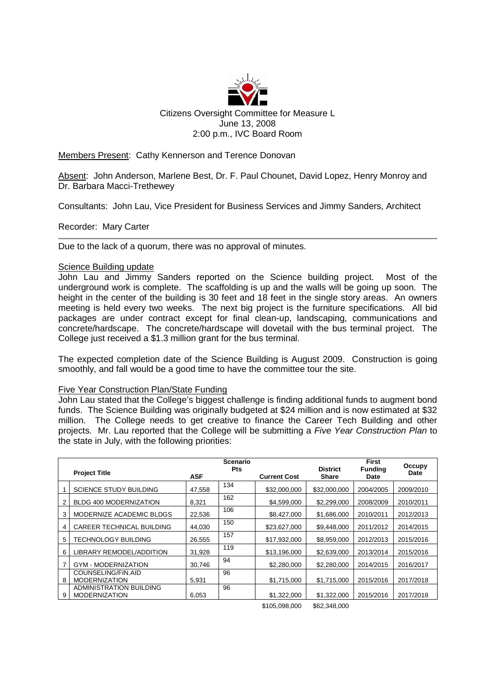

Members Present: Cathy Kennerson and Terence Donovan

Absent: John Anderson, Marlene Best, Dr. F. Paul Chounet, David Lopez, Henry Monroy and Dr. Barbara Macci-Trethewey

Consultants: John Lau, Vice President for Business Services and Jimmy Sanders, Architect

Recorder: Mary Carter

Due to the lack of a quorum, there was no approval of minutes.

## Science Building update

John Lau and Jimmy Sanders reported on the Science building project. Most of the underground work is complete. The scaffolding is up and the walls will be going up soon. The height in the center of the building is 30 feet and 18 feet in the single story areas. An owners meeting is held every two weeks. The next big project is the furniture specifications. All bid packages are under contract except for final clean-up, landscaping, communications and concrete/hardscape. The concrete/hardscape will dovetail with the bus terminal project. The College just received a \$1.3 million grant for the bus terminal.

The expected completion date of the Science Building is August 2009. Construction is going smoothly, and fall would be a good time to have the committee tour the site.

## Five Year Construction Plan/State Funding

John Lau stated that the College's biggest challenge is finding additional funds to augment bond funds. The Science Building was originally budgeted at \$24 million and is now estimated at \$32 million. The College needs to get creative to finance the Career Tech Building and other projects. Mr. Lau reported that the College will be submitting a *Five Year Construction Plan* to the state in July, with the following priorities:

|   | <b>Project Title</b>          |            | Scenario<br><b>Pts</b> |                     | <b>District</b> | First<br><b>Funding</b> | Occupy<br><b>Date</b> |
|---|-------------------------------|------------|------------------------|---------------------|-----------------|-------------------------|-----------------------|
|   |                               | <b>ASF</b> |                        | <b>Current Cost</b> | <b>Share</b>    | Date                    |                       |
|   | <b>SCIENCE STUDY BUILDING</b> | 47,558     | 134                    | \$32,000,000        | \$32,000,000    | 2004/2005               | 2009/2010             |
| 2 | BLDG 400 MODERNIZATION        | 8,321      | 162                    | \$4,599,000         | \$2,299,000     | 2008/2009               | 2010/2011             |
| 3 | MODERNIZE ACADEMIC BLDGS      | 22.536     | 106                    | \$8,427,000         | \$1.686,000     | 2010/2011               | 2012/2013             |
| 4 | CAREER TECHNICAL BUILDING     | 44,030     | 150                    | \$23,627,000        | \$9,448,000     | 2011/2012               | 2014/2015             |
| 5 | TECHNOLOGY BUILDING           | 26,555     | 157                    | \$17,932,000        | \$8,959,000     | 2012/2013               | 2015/2016             |
| 6 | LIBRARY REMODEL/ADDITION      | 31,928     | 119                    | \$13,196,000        | \$2,639,000     | 2013/2014               | 2015/2016             |
|   | <b>GYM - MODERNIZATION</b>    | 30.746     | 94                     | \$2,280,000         | \$2,280,000     | 2014/2015               | 2016/2017             |
|   | COUNSELING/FIN.AID            |            | 96                     |                     |                 |                         |                       |
| 8 | <b>MODERNIZATION</b>          | 5,931      |                        | \$1,715,000         | \$1,715,000     | 2015/2016               | 2017/2018             |
|   | ADMINISTRATION BUILDING       |            | 96                     |                     |                 |                         |                       |
| 9 | <b>MODERNIZATION</b>          | 6,053      |                        | \$1,322,000         | \$1,322,000     | 2015/2016               | 2017/2018             |

\$105,098,000 \$62,348,000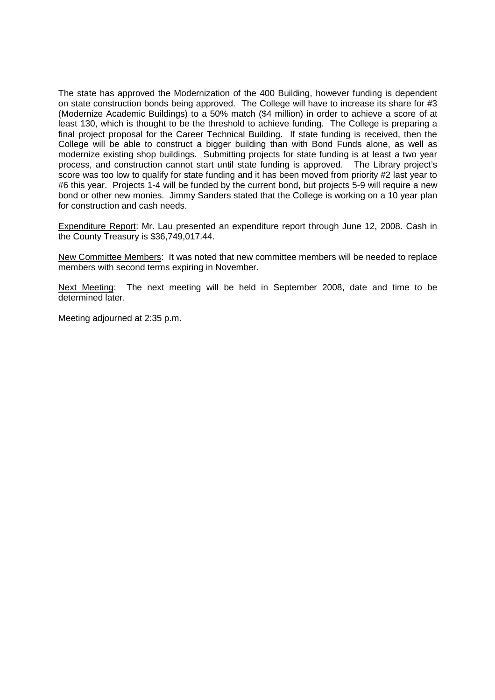The state has approved the Modernization of the 400 Building, however funding is dependent on state construction bonds being approved. The College will have to increase its share for #3 (Modernize Academic Buildings) to a 50% match (\$4 million) in order to achieve a score of at least 130, which is thought to be the threshold to achieve funding. The College is preparing a final project proposal for the Career Technical Building. If state funding is received, then the College will be able to construct a bigger building than with Bond Funds alone, as well as modernize existing shop buildings. Submitting projects for state funding is at least a two year process, and construction cannot start until state funding is approved. The Library project's score was too low to qualify for state funding and it has been moved from priority #2 last year to #6 this year. Projects 1-4 will be funded by the current bond, but projects 5-9 will require a new bond or other new monies. Jimmy Sanders stated that the College is working on a 10 year plan for construction and cash needs.

Expenditure Report: Mr. Lau presented an expenditure report through June 12, 2008. Cash in the County Treasury is \$36,749,017.44.

New Committee Members: It was noted that new committee members will be needed to replace members with second terms expiring in November.

Next Meeting: The next meeting will be held in September 2008, date and time to be determined later.

Meeting adjourned at 2:35 p.m.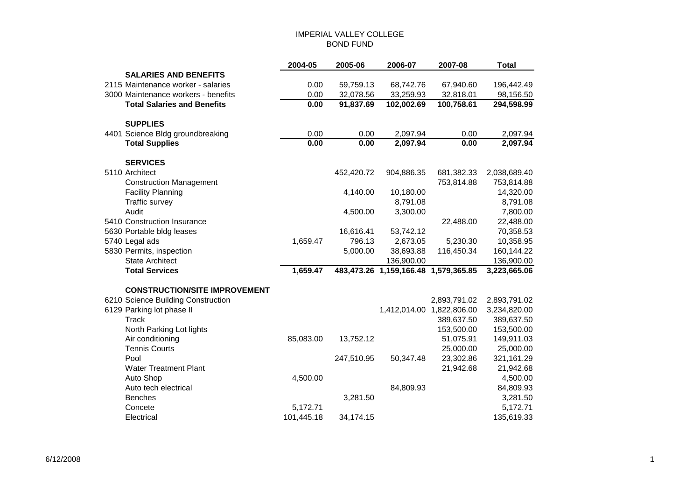## IMPERIAL VALLEY COLLEGE BOND FUND

|                                      | 2004-05    | 2005-06    | 2006-07                              | 2007-08                   | <b>Total</b> |
|--------------------------------------|------------|------------|--------------------------------------|---------------------------|--------------|
| <b>SALARIES AND BENEFITS</b>         |            |            |                                      |                           |              |
| 2115 Maintenance worker - salaries   | 0.00       | 59,759.13  | 68,742.76                            | 67,940.60                 | 196,442.49   |
| 3000 Maintenance workers - benefits  | 0.00       | 32,078.56  | 33,259.93                            | 32,818.01                 | 98,156.50    |
| <b>Total Salaries and Benefits</b>   | 0.00       | 91,837.69  | 102,002.69                           | 100,758.61                | 294,598.99   |
| <b>SUPPLIES</b>                      |            |            |                                      |                           |              |
| 4401 Science Bldg groundbreaking     | 0.00       | 0.00       | 2,097.94                             | 0.00                      | 2,097.94     |
| <b>Total Supplies</b>                | 0.00       | 0.00       | 2,097.94                             | 0.00                      | 2,097.94     |
| <b>SERVICES</b>                      |            |            |                                      |                           |              |
| 5110 Architect                       |            | 452,420.72 | 904,886.35                           | 681,382.33                | 2,038,689.40 |
| <b>Construction Management</b>       |            |            |                                      | 753,814.88                | 753,814.88   |
| <b>Facility Planning</b>             |            | 4,140.00   | 10,180.00                            |                           | 14,320.00    |
| Traffic survey                       |            |            | 8,791.08                             |                           | 8,791.08     |
| Audit                                |            | 4,500.00   | 3,300.00                             |                           | 7,800.00     |
| 5410 Construction Insurance          |            |            |                                      | 22,488.00                 | 22,488.00    |
| 5630 Portable bldg leases            |            | 16,616.41  | 53,742.12                            |                           | 70,358.53    |
| 5740 Legal ads                       | 1,659.47   | 796.13     | 2,673.05                             | 5,230.30                  | 10,358.95    |
| 5830 Permits, inspection             |            | 5,000.00   | 38,693.88                            | 116,450.34                | 160,144.22   |
| <b>State Architect</b>               |            |            | 136,900.00                           |                           | 136,900.00   |
| <b>Total Services</b>                | 1,659.47   |            | 483,473.26 1,159,166.48 1,579,365.85 |                           | 3,223,665.06 |
| <b>CONSTRUCTION/SITE IMPROVEMENT</b> |            |            |                                      |                           |              |
| 6210 Science Building Construction   |            |            |                                      | 2,893,791.02              | 2,893,791.02 |
| 6129 Parking lot phase II            |            |            |                                      | 1,412,014.00 1,822,806.00 | 3,234,820.00 |
| <b>Track</b>                         |            |            |                                      | 389,637.50                | 389,637.50   |
| North Parking Lot lights             |            |            |                                      | 153,500.00                | 153,500.00   |
| Air conditioning                     | 85,083.00  | 13,752.12  |                                      | 51,075.91                 | 149,911.03   |
| <b>Tennis Courts</b>                 |            |            |                                      | 25,000.00                 | 25,000.00    |
| Pool                                 |            | 247,510.95 | 50,347.48                            | 23,302.86                 | 321,161.29   |
| <b>Water Treatment Plant</b>         |            |            |                                      | 21,942.68                 | 21,942.68    |
| Auto Shop                            | 4,500.00   |            |                                      |                           | 4,500.00     |
| Auto tech electrical                 |            |            | 84,809.93                            |                           | 84,809.93    |
| <b>Benches</b>                       |            | 3,281.50   |                                      |                           | 3,281.50     |
| Concete                              | 5,172.71   |            |                                      |                           | 5,172.71     |
| Electrical                           | 101,445.18 | 34,174.15  |                                      |                           | 135,619.33   |